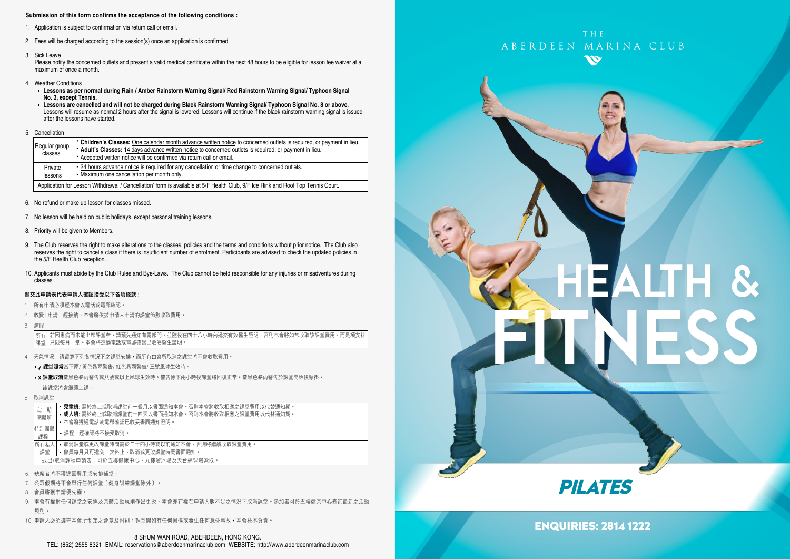#### **Submission of this form confirms the acceptance of the following conditions :**

- 1. Application is subject to confirmation via return call or email.
- 2. Fees will be charged according to the session(s) once an application is confirmed.
- 3. Sick Leave

Please notify the concerned outlets and present a valid medical certificate within the next 48 hours to be eligible for lesson fee waiver at a maximum of once a month.

- 4. Weather Conditions
	- **Lessons as per normal during Rain / Amber Rainstorm Warning Signal/ Red Rainstorm Warning Signal/ Typhoon Signal No. 3, except Tennis.**
	- **Lessons are cancelled and will not be charged during Black Rainstorm Warning Signal/ Typhoon Signal No. 8 or above.** Lessons will resume as normal 2 hours after the signal is lowered. Lessons will continue if the black rainstorm warning signal is issued after the lessons have started.
- 5. Cancellation

| Regular group<br>classes | • Children's Classes: One calendar month advance written notice to concerned outlets is required, or payment in lieu.<br>* Adult's Classes: 14 days advance written notice to concerned outlets is required, or payment in lieu.<br>• Accepted written notice will be confirmed via return call or email. |
|--------------------------|-----------------------------------------------------------------------------------------------------------------------------------------------------------------------------------------------------------------------------------------------------------------------------------------------------------|
| Private<br>lessons       | • 24 hours advance notice is required for any cancellation or time change to concerned outlets.<br>• Maximum one cancellation per month only.                                                                                                                                                             |
|                          | Application for Lesson Withdrawal / Cancellation' form is available at 5/F Health Club, 9/F Ice Rink and Roof Top Tennis Court.                                                                                                                                                                           |

- 6. No refund or make up lesson for classes missed.
- 7. No lesson will be held on public holidays, except personal training lessons.
- 8. Priority will be given to Members.
- 9. The Club reserves the right to make alterations to the classes, policies and the terms and conditions without prior notice. The Club also reserves the right to cancel a class if there is insufficient number of enrolment. Participants are advised to check the updated policies in the 5/F Health Club reception.
- 10. Applicants must abide by the Club Rules and Bye-Laws. The Club cannot be held responsible for any injuries or misadventures during classes.

#### 遞交此申請表代表申請人確認接受以下各項條款 :

- 1. 所有申請必須經本會以電話或電郵確認。
- 2. 收費 : 申請一經接納,本會將依據申請人申請的課堂節數收取費用。
- 3. 病假

若因患病而未能出席課堂者,請預先通知有關部門,並隨後在四十八小時內遞交有效醫生證明,否則本會將如常收取該課堂費用,而是項安排 只限每月一堂。本會將透過電話或電郵確認已收妥醫生證明。 所有 課堂

- 4. 天氣情況 : 請留意下列各情況下之課堂安排,而所有由會所取消之課堂將不會收取費用。
	- / 課堂照常當下雨/ 黃色暴雨警告/ 紅色暴雨警告/ 三號風球生效時。
	- x 課堂取消當黑色暴雨警告或八號或以上風球生效時。警告除下兩小時後課堂將回復正常。當黑色暴雨警告於課堂開始後懸掛, 該課堂將會繼續上課。
- 5. 取消課堂

| 期<br>定<br>團體班 | <b>兒童班:</b> 需於終止或取消課堂前一個月以書面通知本會。否則本會將收取相應之課堂費用以代替通知期。<br>• 成人班: 需於終止或取消課堂前十四天以書面通知本會。否則本會將收取相應之課堂費用以代替通知期。<br>• 本會將透過電話或電郵確認已收妥書面通知證明。 |
|---------------|-----------------------------------------------------------------------------------------------------------------------------------------|
| 特別團體<br>課程    | •課程一經確認將不接受取消。                                                                                                                          |
| 所有私人<br>課堂    | • 取消課堂或更改課堂時間需於二十四小時或以前通知本會,否則將繼續收取課堂費用。<br>• 會員每月只可遞交一次終止、取消或更改課堂時間書面通知。                                                               |
|               | 「狠出/取消課程申請表,可於五樓健康中心、九樓溜冰場及天台網球場索取。                                                                                                     |

- 6. 缺席者將不獲退回費用或安排補堂。
- 7. 公眾假期將不會舉行任何課堂﹝健身訓練課堂除外﹞。
- 8. 會員將獲申請優先權。
- 9. 本會有權對任何課堂之安排及康體活動規則作出更改。本會亦有權在申請人數不足之情況下取消課堂。參加者可於五樓健康中心查詢最新之活動 規則。
- 10. 申請人必須遵守本會所制定之會章及附則。課堂間如有任何損傷或發生任何意外事故,本會概不負責。



# HEALTH & FITNESS



# ENQUIRIES: 2814 1222